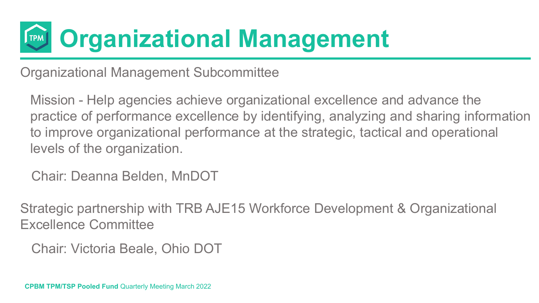Organizational Management Subcommittee

Mission - Help agencies achieve organizational excellence and advance the practice of performance excellence by identifying, analyzing and sharing information to improve organizational performance at the strategic, tactical and operational levels of the organization.

Chair: Deanna Belden, MnDOT

Strategic partnership with TRB AJE15 Workforce Development & Organizational Excellence Committee

Chair: Victoria Beale, Ohio DOT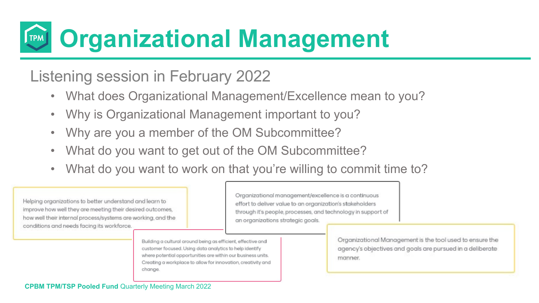#### Listening session in February 2022

- What does Organizational Management/Excellence mean to you?
- Why is Organizational Management important to you?
- Why are you a member of the OM Subcommittee?
- What do you want to get out of the OM Subcommittee?
- What do you want to work on that you're willing to commit time to?

Helping organizations to better understand and learn to improve how well they are meeting their desired outcomes, how well their internal process/systems are working, and the conditions and needs facing its workforce.

Organizational management/excellence is a continuous effort to deliver value to an organization's stakeholders through it's people, processes, and technology in support of an organizations strategic goals.

Building a cultural around being as efficient, effective and customer focused. Using data analytics to help identify where potential opportunities are within our business units. Creating a workplace to allow for innovation, creativity and change.

Organizational Management is the tool used to ensure the agency's objectives and goals are pursued in a deliberate manner.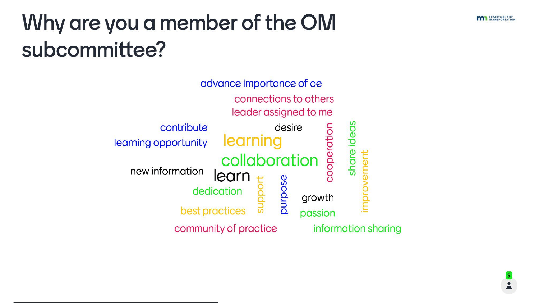

#### Why are you a member of the OM subcommittee?



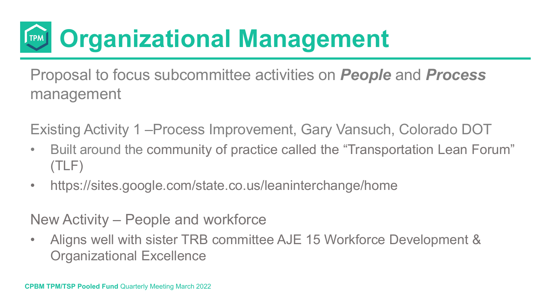Proposal to focus subcommittee activities on *People* and *Process* management

Existing Activity 1 –Process Improvement, Gary Vansuch, Colorado DOT

- Built around the community of practice called the "Transportation Lean Forum" (TLF)
- https://sites.google.com/state.co.us/leaninterchange/home

New Activity – People and workforce

• Aligns well with sister TRB committee AJE 15 Workforce Development & Organizational Excellence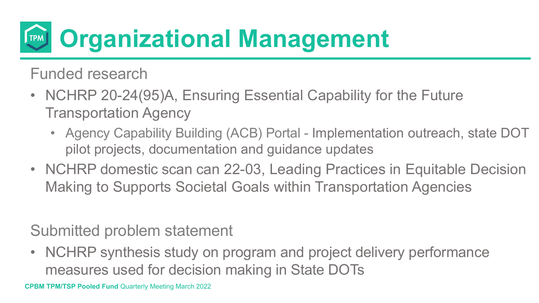Funded research

- NCHRP 20-24(95)A, Ensuring Essential Capability for the Future Transportation Agency
	- Agency Capability Building (ACB) Portal Implementation outreach, state DOT pilot projects, documentation and guidance updates
- NCHRP domestic scan can 22-03, Leading Practices in Equitable Decision Making to Supports Societal Goals within Transportation Agencies

#### Submitted problem statement

• NCHRP synthesis study on program and project delivery performance measures used for decision making in State DOTs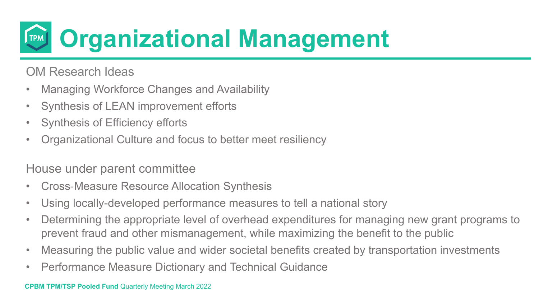

OM Research Ideas

- Managing Workforce Changes and Availability
- Synthesis of LEAN improvement efforts
- Synthesis of Efficiency efforts
- Organizational Culture and focus to better meet resiliency

#### House under parent committee

- Cross‐Measure Resource Allocation Synthesis
- Using locally-developed performance measures to tell a national story
- Determining the appropriate level of overhead expenditures for managing new grant programs to prevent fraud and other mismanagement, while maximizing the benefit to the public
- Measuring the public value and wider societal benefits created by transportation investments
- Performance Measure Dictionary and Technical Guidance